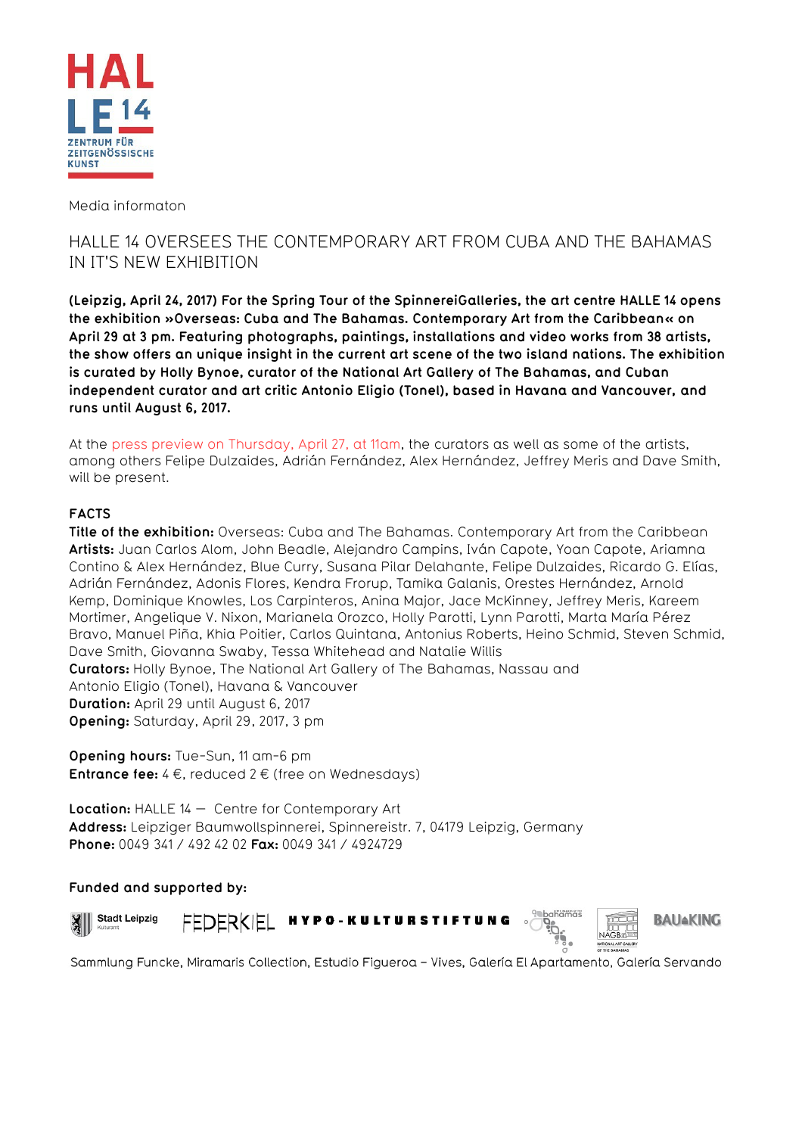

Media informaton

# HALLE 14 OVERSEES THE CONTEMPORARY ART FROM CUBA AND THE BAHAMAS IN IT'S NEW EXHIBITION

**(Leipzig, April 24, 2017) For the Spring Tour of the SpinnereiGalleries, the art centre HALLE 14 opens the exhibition »Overseas: Cuba and The Bahamas. Contemporary Art from the Caribbean« on April 29 at 3 pm. Featuring photographs, paintings, installations and video works from 38 artists, the show offers an unique insight in the current art scene of the two island nations. The exhibition is curated by Holly Bynoe, curator of the National Art Gallery of The Bahamas, and Cuban independent curator and art critic Antonio Eligio (Tonel), based in Havana and Vancouver, and runs until August 6, 2017.**

At the press preview on Thursday, April 27, at 11am, the curators as well as some of the artists, among others Felipe Dulzaides, Adrián Fernández, Alex Hernández, Jeffrey Meris and Dave Smith, will be present.

# **FACTS**

**Title of the exhibition:** Overseas: Cuba and The Bahamas. Contemporary Art from the Caribbean **Artists:** Juan Carlos Alom, John Beadle, Alejandro Campins, Iván Capote, Yoan Capote, Ariamna Contino & Alex Hernández, Blue Curry, Susana Pilar Delahante, Felipe Dulzaides, Ricardo G. Elías, Adrián Fernández, Adonis Flores, Kendra Frorup, Tamika Galanis, Orestes Hernández, Arnold Kemp, Dominique Knowles, Los Carpinteros, Anina Major, Jace McKinney, Jeffrey Meris, Kareem Mortimer, Angelique V. Nixon, Marianela Orozco, Holly Parotti, Lynn Parotti, Marta María Pérez Bravo, Manuel Piña, Khia Poitier, Carlos Quintana, Antonius Roberts, Heino Schmid, Steven Schmid, Dave Smith, Giovanna Swaby, Tessa Whitehead and Natalie Willis **Curators:** Holly Bynoe, The National Art Gallery of The Bahamas, Nassau and Antonio Eligio (Tonel), Havana & Vancouver **Duration:** April 29 until August 6, 2017 **Opening:** Saturday, April 29, 2017, 3 pm

**Opening hours:** Tue-Sun, 11 am-6 pm **Entrance fee:** 4 €, reduced 2 € (free on Wednesdays)

**Location:** HALLE 14 — Centre for Contemporary Art **Address:** Leipziger Baumwollspinnerei, Spinnereistr. 7, 04179 Leipzig, Germany **Phone:** 0049 341 / 492 42 02 **Fax:** 0049 341 / 4924729

# **Funded and supported by:**



 $\mathbf{X}$ 





**BAUAKING** 

Sammlung Funcke, Miramaris Collection, Estudio Figueroa - Vives, Galería El Apartamento, Galería Servando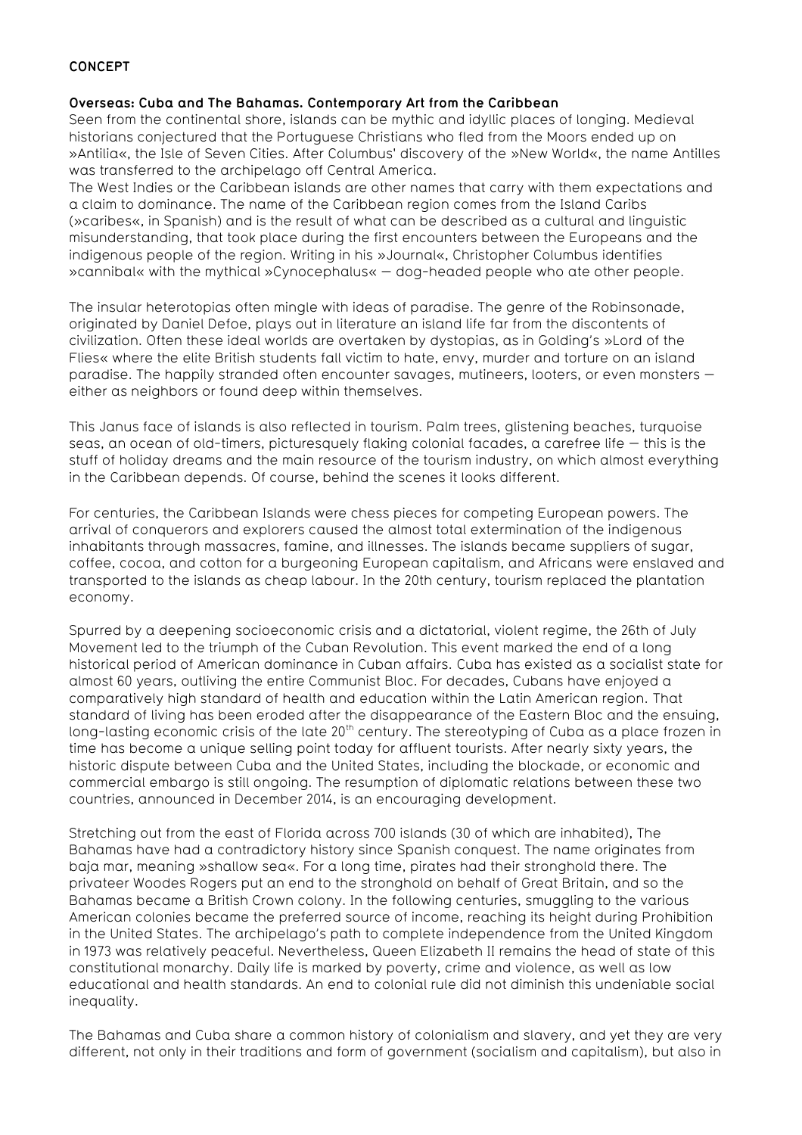### **CONCEPT**

#### **Overseas: Cuba and The Bahamas. Contemporary Art from the Caribbean**

Seen from the continental shore, islands can be mythic and idyllic places of longing. Medieval historians conjectured that the Portuguese Christians who fled from the Moors ended up on »Antilia«, the Isle of Seven Cities. After Columbus' discovery of the »New World«, the name Antilles was transferred to the archipelago off Central America.

The West Indies or the Caribbean islands are other names that carry with them expectations and a claim to dominance. The name of the Caribbean region comes from the Island Caribs (»caribes«, in Spanish) and is the result of what can be described as a cultural and linguistic misunderstanding, that took place during the first encounters between the Europeans and the indigenous people of the region. Writing in his »Journal«, Christopher Columbus identifies »cannibal« with the mythical »Cynocephalus« — dog-headed people who ate other people.

The insular heterotopias often mingle with ideas of paradise. The genre of the Robinsonade, originated by Daniel Defoe, plays out in literature an island life far from the discontents of civilization. Often these ideal worlds are overtaken by dystopias, as in Golding's »Lord of the Flies« where the elite British students fall victim to hate, envy, murder and torture on an island paradise. The happily stranded often encounter savages, mutineers, looters, or even monsters either as neighbors or found deep within themselves.

This Janus face of islands is also reflected in tourism. Palm trees, glistening beaches, turquoise seas, an ocean of old-timers, picturesquely flaking colonial facades, a carefree life — this is the stuff of holiday dreams and the main resource of the tourism industry, on which almost everything in the Caribbean depends. Of course, behind the scenes it looks different.

For centuries, the Caribbean Islands were chess pieces for competing European powers. The arrival of conquerors and explorers caused the almost total extermination of the indigenous inhabitants through massacres, famine, and illnesses. The islands became suppliers of sugar, coffee, cocoa, and cotton for a burgeoning European capitalism, and Africans were enslaved and transported to the islands as cheap labour. In the 20th century, tourism replaced the plantation economy.

Spurred by a deepening socioeconomic crisis and a dictatorial, violent regime, the 26th of July Movement led to the triumph of the Cuban Revolution. This event marked the end of a long historical period of American dominance in Cuban affairs. Cuba has existed as a socialist state for almost 60 years, outliving the entire Communist Bloc. For decades, Cubans have enjoyed a comparatively high standard of health and education within the Latin American region. That standard of living has been eroded after the disappearance of the Eastern Bloc and the ensuing, long-lasting economic crisis of the late 20<sup>th</sup> century. The stereotyping of Cuba as a place frozen in time has become a unique selling point today for affluent tourists. After nearly sixty years, the historic dispute between Cuba and the United States, including the blockade, or economic and commercial embargo is still ongoing. The resumption of diplomatic relations between these two countries, announced in December 2014, is an encouraging development.

Stretching out from the east of Florida across 700 islands (30 of which are inhabited), The Bahamas have had a contradictory history since Spanish conquest. The name originates from baja mar, meaning »shallow sea«. For a long time, pirates had their stronghold there. The privateer Woodes Rogers put an end to the stronghold on behalf of Great Britain, and so the Bahamas became a British Crown colony. In the following centuries, smuggling to the various American colonies became the preferred source of income, reaching its height during Prohibition in the United States. The archipelago's path to complete independence from the United Kingdom in 1973 was relatively peaceful. Nevertheless, Queen Elizabeth II remains the head of state of this constitutional monarchy. Daily life is marked by poverty, crime and violence, as well as low educational and health standards. An end to colonial rule did not diminish this undeniable social inequality.

The Bahamas and Cuba share a common history of colonialism and slavery, and yet they are very different, not only in their traditions and form of government (socialism and capitalism), but also in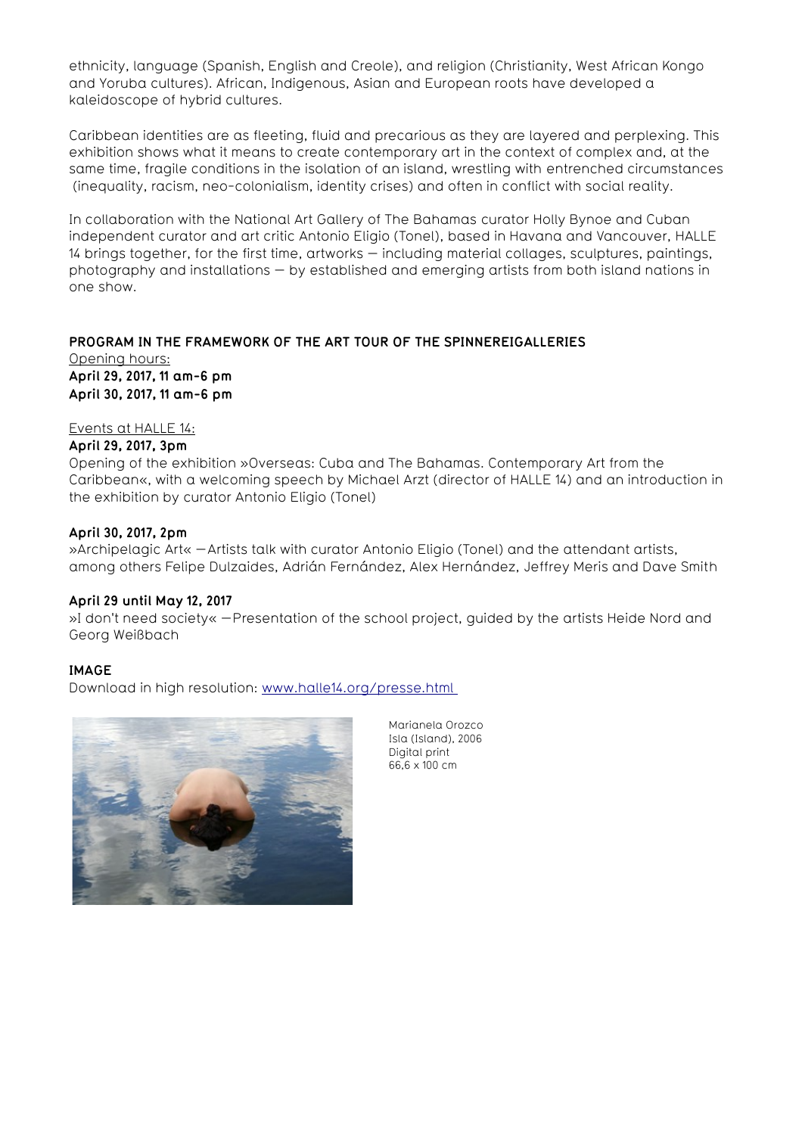ethnicity, language (Spanish, English and Creole), and religion (Christianity, West African Kongo and Yoruba cultures). African, Indigenous, Asian and European roots have developed a kaleidoscope of hybrid cultures.

Caribbean identities are as fleeting, fluid and precarious as they are layered and perplexing. This exhibition shows what it means to create contemporary art in the context of complex and, at the same time, fragile conditions in the isolation of an island, wrestling with entrenched circumstances (inequality, racism, neo-colonialism, identity crises) and often in conflict with social reality.

In collaboration with the National Art Gallery of The Bahamas curator Holly Bynoe and Cuban independent curator and art critic Antonio Eligio (Tonel), based in Havana and Vancouver, HALLE 14 brings together, for the first time, artworks — including material collages, sculptures, paintings, photography and installations — by established and emerging artists from both island nations in one show.

# **PROGRAM IN THE FRAMEWORK OF THE ART TOUR OF THE SPINNEREIGALLERIES** Opening hours: **April 29, 2017, 11 am-6 pm**

**April 30, 2017, 11 am-6 pm**

### Events at HALLE 14:

#### **April 29, 2017, 3pm**

Opening of the exhibition »Overseas: Cuba and The Bahamas. Contemporary Art from the Caribbean«, with a welcoming speech by Michael Arzt (director of HALLE 14) and an introduction in the exhibition by curator Antonio Eligio (Tonel)

#### **April 30, 2017, 2pm**

»Archipelagic Art« – Artists talk with curator Antonio Eligio (Tonel) and the attendant artists, among others Felipe Dulzaides, Adrián Fernández, Alex Hernández, Jeffrey Meris and Dave Smith

#### **April 29 until May 12, 2017**

»I don't need society« – Presentation of the school project, guided by the artists Heide Nord and Georg Weißbach

#### **IMAGE**

Download in high resolution: [www.halle14.org/presse.html](http://www.hall14.org/presse) 



Marianela Orozco Isla (Island), 2006 Digital print 66,6 x 100 cm